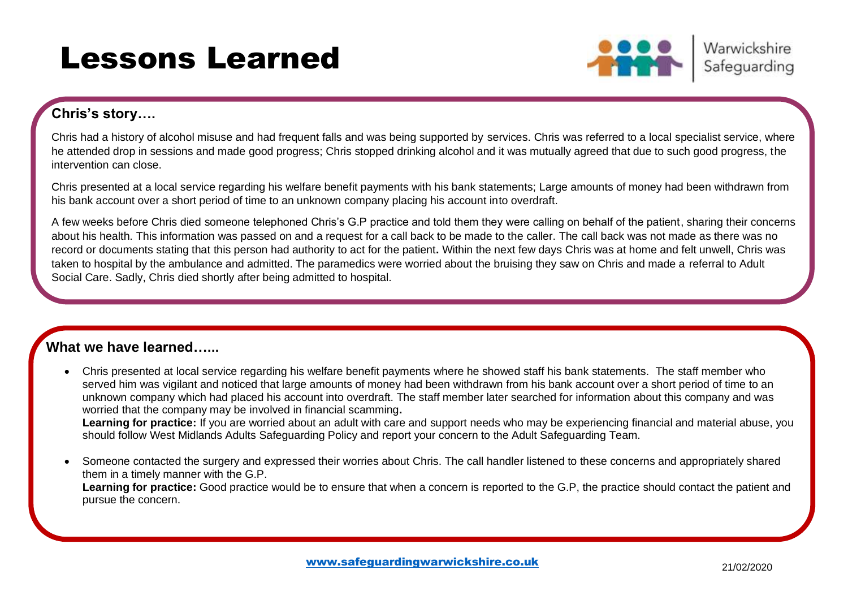## Lessons Learned



Warwickshire Safeguarding

### **Chris's story….**

Chris had a history of alcohol misuse and had frequent falls and was being supported by services. Chris was referred to a local specialist service, where he attended drop in sessions and made good progress; Chris stopped drinking alcohol and it was mutually agreed that due to such good progress, the intervention can close.

Chris presented at a local service regarding his welfare benefit payments with his bank statements; Large amounts of money had been withdrawn from his bank account over a short period of time to an unknown company placing his account into overdraft.

A few weeks before Chris died someone telephoned Chris's G.P practice and told them they were calling on behalf of the patient, sharing their concerns about his health. This information was passed on and a request for a call back to be made to the caller. The call back was not made as there was no record or documents stating that this person had authority to act for the patient**.** Within the next few days Chris was at home and felt unwell, Chris was taken to hospital by the ambulance and admitted. The paramedics were worried about the bruising they saw on Chris and made a referral to Adult Social Care. Sadly, Chris died shortly after being admitted to hospital.

### **What we have learned…...**

- Chris presented at local service regarding his welfare benefit payments where he showed staff his bank statements. The staff member who served him was vigilant and noticed that large amounts of money had been withdrawn from his bank account over a short period of time to an unknown company which had placed his account into overdraft. The staff member later searched for information about this company and was worried that the company may be involved in financial scamming**. Learning for practice:** If you are worried about an adult with care and support needs who may be experiencing financial and material abuse, you should follow West Midlands Adults Safeguarding Policy and report your concern to the Adult Safeguarding Team.
- Someone contacted the surgery and expressed their worries about Chris. The call handler listened to these concerns and appropriately shared them in a timely manner with the G.P. **Learning for practice:** Good practice would be to ensure that when a concern is reported to the G.P, the practice should contact the patient and pursue the concern.